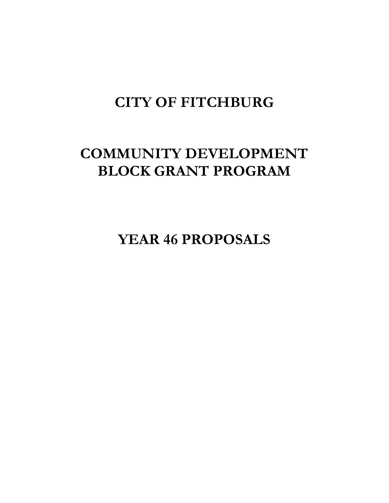# **CITY OF FITCHBURG**

# **COMMUNITY DEVELOPMENT BLOCK GRANT PROGRAM**

**YEAR 46 PROPOSALS**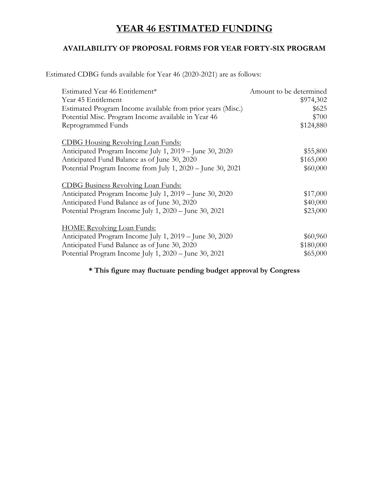## **YEAR 46 ESTIMATED FUNDING**

#### **AVAILABILITY OF PROPOSAL FORMS FOR YEAR FORTY-SIX PROGRAM**

Estimated CDBG funds available for Year 46 (2020-2021) are as follows:

| Estimated Year 46 Entitlement*                              | Amount to be determined |
|-------------------------------------------------------------|-------------------------|
| Year 45 Entitlement                                         | \$974,302               |
| Estimated Program Income available from prior years (Misc.) | \$625                   |
| Potential Misc. Program Income available in Year 46         | \$700                   |
| Reprogrammed Funds                                          | \$124,880               |
| <b>CDBG Housing Revolving Loan Funds:</b>                   |                         |
| Anticipated Program Income July 1, 2019 – June 30, 2020     | \$55,800                |
| Anticipated Fund Balance as of June 30, 2020                | \$165,000               |
| Potential Program Income from July 1, 2020 - June 30, 2021  | \$60,000                |
| <b>CDBG</b> Business Revolving Loan Funds:                  |                         |
| Anticipated Program Income July 1, 2019 – June 30, 2020     | \$17,000                |
| Anticipated Fund Balance as of June 30, 2020                | \$40,000                |
| Potential Program Income July 1, 2020 - June 30, 2021       | \$23,000                |
| <b>HOME Revolving Loan Funds:</b>                           |                         |
| Anticipated Program Income July 1, 2019 – June 30, 2020     | \$60,960                |
| Anticipated Fund Balance as of June 30, 2020                | \$180,000               |
| Potential Program Income July 1, 2020 - June 30, 2021       | \$65,000                |

#### **\* This figure may fluctuate pending budget approval by Congress**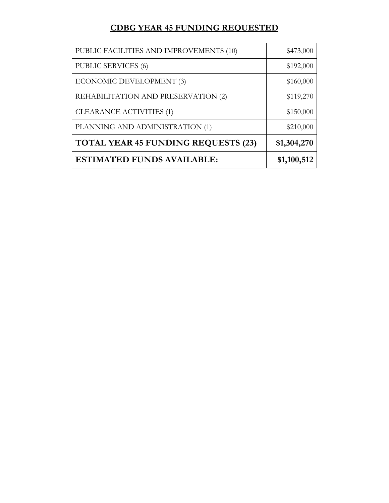## **CDBG YEAR 45 FUNDING REQUESTED**

| PUBLIC FACILITIES AND IMPROVEMENTS (10)    | \$473,000   |
|--------------------------------------------|-------------|
| <b>PUBLIC SERVICES (6)</b>                 | \$192,000   |
| ECONOMIC DEVELOPMENT (3)                   | \$160,000   |
| REHABILITATION AND PRESERVATION (2)        | \$119,270   |
| CLEARANCE ACTIVITIES (1)                   | \$150,000   |
| PLANNING AND ADMINISTRATION (1)            | \$210,000   |
| <b>TOTAL YEAR 45 FUNDING REQUESTS (23)</b> | \$1,304,270 |
| <b>ESTIMATED FUNDS AVAILABLE:</b>          | \$1,100,512 |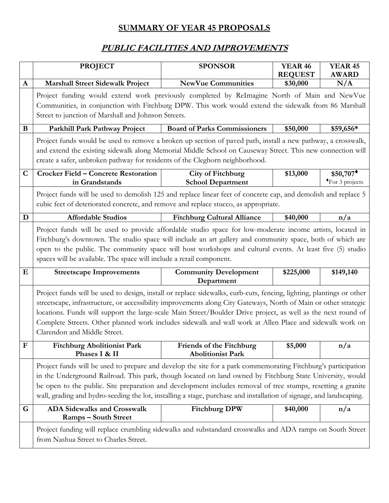## **SUMMARY OF YEAR 45 PROPOSALS**

## **PUBLIC FACILITIES AND IMPROVEMENTS**

|              | <b>PROJECT</b>                                                                                                                                                                                                                                                                                                                                                                                                                                                                                        | <b>SPONSOR</b>                                       | <b>YEAR 46</b><br><b>REQUEST</b> | <b>YEAR 45</b><br><b>AWARD</b>                     |  |
|--------------|-------------------------------------------------------------------------------------------------------------------------------------------------------------------------------------------------------------------------------------------------------------------------------------------------------------------------------------------------------------------------------------------------------------------------------------------------------------------------------------------------------|------------------------------------------------------|----------------------------------|----------------------------------------------------|--|
| $\mathbf{A}$ | <b>Marshall Street Sidewalk Project</b>                                                                                                                                                                                                                                                                                                                                                                                                                                                               | <b>NewVue Communities</b>                            | \$30,000                         | N/A                                                |  |
|              | Project funding would extend work previously completed by ReImagine North of Main and NewVue<br>Communities, in conjunction with Fitchburg DPW. This work would extend the sidewalk from 86 Marshall<br>Street to junction of Marshall and Johnson Streets.                                                                                                                                                                                                                                           |                                                      |                                  |                                                    |  |
| B            | Parkhill Park Pathway Project                                                                                                                                                                                                                                                                                                                                                                                                                                                                         | <b>Board of Parks Commissioners</b>                  | \$50,000                         | \$59,656*                                          |  |
|              | Project funds would be used to remove a broken up section of paved path, install a new pathway, a crosswalk,<br>and extend the existing sidewalk along Memorial Middle School on Causeway Street. This new connection will<br>create a safer, unbroken pathway for residents of the Cleghorn neighborhood.                                                                                                                                                                                            |                                                      |                                  |                                                    |  |
| $\mathbf C$  | <b>Crocker Field - Concrete Restoration</b><br>in Grandstands                                                                                                                                                                                                                                                                                                                                                                                                                                         | <b>City of Fitchburg</b><br><b>School Department</b> | \$13,000                         | $$50,707$ <sup>+</sup><br>$\bullet$ For 3 projects |  |
|              | Project funds will be used to demolish 125 and replace linear feet of concrete cap, and demolish and replace 5<br>cubic feet of deteriorated concrete, and remove and replace stucco, as appropriate.                                                                                                                                                                                                                                                                                                 |                                                      |                                  |                                                    |  |
| D            | <b>Affordable Studios</b>                                                                                                                                                                                                                                                                                                                                                                                                                                                                             | <b>Fitchburg Cultural Alliance</b>                   | \$40,000                         | n/a                                                |  |
|              | Project funds will be used to provide affordable studio space for low-moderate income artists, located in<br>Fitchburg's downtown. The studio space will include an art gallery and community space, both of which are<br>open to the public. The community space will host workshops and cultural events. At least five (5) studio<br>spaces will be available. The space will include a retail component.                                                                                           |                                                      |                                  |                                                    |  |
| E            | <b>Streetscape Improvements</b>                                                                                                                                                                                                                                                                                                                                                                                                                                                                       | <b>Community Development</b><br>Department           | \$225,000                        | \$149,140                                          |  |
|              | Project funds will be used to design, install or replace sidewalks, curb-cuts, fencing, lighting, plantings or other<br>streetscape, infrastructure, or accessibility improvements along City Gateways, North of Main or other strategic<br>locations. Funds will support the large-scale Main Street/Boulder Drive project, as well as the next round of<br>Complete Streets. Other planned work includes sidewalk and wall work at Allen Place and sidewalk work on<br>Clarendon and Middle Street. |                                                      |                                  |                                                    |  |
| ${\bf F}$    | <b>Fitchburg Abolitionist Park</b><br>Phases I & II                                                                                                                                                                                                                                                                                                                                                                                                                                                   | Friends of the Fitchburg<br><b>Abolitionist Park</b> | \$5,000                          | n/a                                                |  |
|              | Project funds will be used to prepare and develop the site for a park commemorating Fitchburg's participation<br>in the Underground Railroad. This park, though located on land owned by Fitchburg State University, would<br>be open to the public. Site preparation and development includes removal of tree stumps, resetting a granite<br>wall, grading and hydro-seeding the lot, installing a stage, purchase and installation of signage, and landscaping.                                     |                                                      |                                  |                                                    |  |
| G            | <b>ADA Sidewalks and Crosswalk</b><br><b>Ramps - South Street</b>                                                                                                                                                                                                                                                                                                                                                                                                                                     | <b>Fitchburg DPW</b>                                 | \$40,000                         | n/a                                                |  |
|              | Project funding will replace crumbling sidewalks and substandard crosswalks and ADA ramps on South Street<br>from Nashua Street to Charles Street.                                                                                                                                                                                                                                                                                                                                                    |                                                      |                                  |                                                    |  |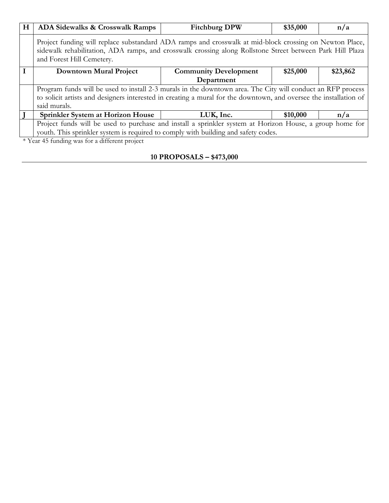| H | ADA Sidewalks & Crosswalk Ramps                                                                                                                                                                                                                   | <b>Fitchburg DPW</b>         | \$35,000 | n/a      |
|---|---------------------------------------------------------------------------------------------------------------------------------------------------------------------------------------------------------------------------------------------------|------------------------------|----------|----------|
|   | Project funding will replace substandard ADA ramps and crosswalk at mid-block crossing on Newton Place,<br>sidewalk rehabilitation, ADA ramps, and crosswalk crossing along Rollstone Street between Park Hill Plaza<br>and Forest Hill Cemetery. |                              |          |          |
|   | Downtown Mural Project                                                                                                                                                                                                                            | <b>Community Development</b> | \$25,000 | \$23,862 |
|   |                                                                                                                                                                                                                                                   | Department                   |          |          |
|   | Program funds will be used to install 2-3 murals in the downtown area. The City will conduct an RFP process                                                                                                                                       |                              |          |          |
|   | to solicit artists and designers interested in creating a mural for the downtown, and oversee the installation of                                                                                                                                 |                              |          |          |
|   | said murals.                                                                                                                                                                                                                                      |                              |          |          |
|   | Sprinkler System at Horizon House                                                                                                                                                                                                                 | LUK, Inc.                    | \$10,000 | n/a      |
|   | Project funds will be used to purchase and install a sprinkler system at Horizon House, a group home for                                                                                                                                          |                              |          |          |
|   | youth. This sprinkler system is required to comply with building and safety codes.                                                                                                                                                                |                              |          |          |
|   | * Year 45 funding was for a different project                                                                                                                                                                                                     |                              |          |          |

#### **10 PROPOSALS – \$473,000**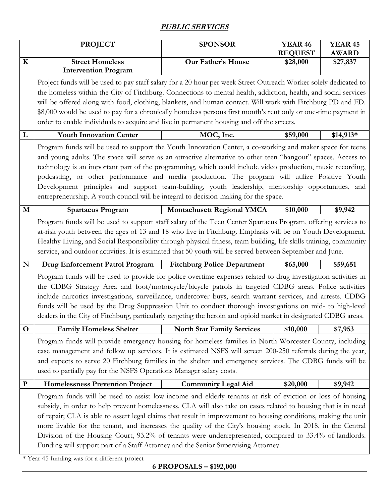#### **PUBLIC SERVICES**

|             | <b>PROJECT</b>                                                                                                                                                                                                                                                                                                                                                                                                                                                                                                                                                                                                                                                 | <b>SPONSOR</b>                     | <b>YEAR 46</b><br><b>REQUEST</b> | <b>YEAR 45</b><br><b>AWARD</b> |
|-------------|----------------------------------------------------------------------------------------------------------------------------------------------------------------------------------------------------------------------------------------------------------------------------------------------------------------------------------------------------------------------------------------------------------------------------------------------------------------------------------------------------------------------------------------------------------------------------------------------------------------------------------------------------------------|------------------------------------|----------------------------------|--------------------------------|
| $\mathbf K$ | <b>Street Homeless</b><br><b>Intervention Program</b>                                                                                                                                                                                                                                                                                                                                                                                                                                                                                                                                                                                                          | Our Father's House                 | \$28,000                         | \$27,837                       |
|             | Project funds will be used to pay staff salary for a 20 hour per week Street Outreach Worker solely dedicated to<br>the homeless within the City of Fitchburg. Connections to mental health, addiction, health, and social services<br>will be offered along with food, clothing, blankets, and human contact. Will work with Fitchburg PD and FD.<br>\$8,000 would be used to pay for a chronically homeless persons first month's rent only or one-time payment in                                                                                                                                                                                           |                                    |                                  |                                |
|             | order to enable individuals to acquire and live in permanent housing and off the streets.                                                                                                                                                                                                                                                                                                                                                                                                                                                                                                                                                                      |                                    |                                  |                                |
| L           | <b>Youth Innovation Center</b>                                                                                                                                                                                                                                                                                                                                                                                                                                                                                                                                                                                                                                 | MOC, Inc.                          | \$59,000                         | $$14,913*$                     |
|             | Program funds will be used to support the Youth Innovation Center, a co-working and maker space for teens<br>and young adults. The space will serve as an attractive alternative to other teen "hangout" spaces. Access to<br>technology is an important part of the programming, which could include video production, music recording,<br>podcasting, or other performance and media production. The program will utilize Positive Youth<br>Development principles and support team-building, youth leadership, mentorship opportunities, and<br>entrepreneurship. A youth council will be integral to decision-making for the space.                        |                                    |                                  |                                |
| M           | <b>Spartacus Program</b>                                                                                                                                                                                                                                                                                                                                                                                                                                                                                                                                                                                                                                       | <b>Montachusett Regional YMCA</b>  | \$10,000                         | \$9,942                        |
|             | Program funds will be used to support staff salary of the Teen Center Spartacus Program, offering services to<br>at-risk youth between the ages of 13 and 18 who live in Fitchburg. Emphasis will be on Youth Development,<br>Healthy Living, and Social Responsibility through physical fitness, team building, life skills training, community<br>service, and outdoor activities. It is estimated that 50 youth will be served between September and June.                                                                                                                                                                                                  |                                    |                                  |                                |
| N           | <b>Drug Enforcement Patrol Program</b>                                                                                                                                                                                                                                                                                                                                                                                                                                                                                                                                                                                                                         | <b>Fitchburg Police Department</b> | \$65,000                         | \$59,651                       |
|             | Program funds will be used to provide for police overtime expenses related to drug investigation activities in<br>the CDBG Strategy Area and foot/motorcycle/bicycle patrols in targeted CDBG areas. Police activities<br>include narcotics investigations, surveillance, undercover buys, search warrant services, and arrests. CDBG<br>funds will be used by the Drug Suppression Unit to conduct thorough investigations on mid- to high-level<br>dealers in the City of Fitchburg, particularly targeting the heroin and opioid market in designated CDBG areas.                                                                                           |                                    |                                  |                                |
| $\mathbf O$ | <b>Family Homeless Shelter</b>                                                                                                                                                                                                                                                                                                                                                                                                                                                                                                                                                                                                                                 | <b>North Star Family Services</b>  | \$10,000                         | \$7,953                        |
|             | Program funds will provide emergency housing for homeless families in North Worcester County, including<br>case management and follow up services. It is estimated NSFS will screen 200-250 referrals during the year,<br>and expects to serve 20 Fitchburg families in the shelter and emergency services. The CDBG funds will be<br>used to partially pay for the NSFS Operations Manager salary costs.                                                                                                                                                                                                                                                      |                                    |                                  |                                |
| ${\bf P}$   | <b>Homelessness Prevention Project</b>                                                                                                                                                                                                                                                                                                                                                                                                                                                                                                                                                                                                                         | <b>Community Legal Aid</b>         | \$20,000                         | \$9,942                        |
|             | Program funds will be used to assist low-income and elderly tenants at risk of eviction or loss of housing<br>subsidy, in order to help prevent homelessness. CLA will also take on cases related to housing that is in need<br>of repair; CLA is able to assert legal claims that result in improvement to housing conditions, making the unit<br>more livable for the tenant, and increases the quality of the City's housing stock. In 2018, in the Central<br>Division of the Housing Court, 93.2% of tenants were underrepresented, compared to 33.4% of landlords.<br>Funding will support part of a Staff Attorney and the Senior Supervising Attorney. |                                    |                                  |                                |

\* Year 45 funding was for a different project

**6 PROPOSALS – \$192,000**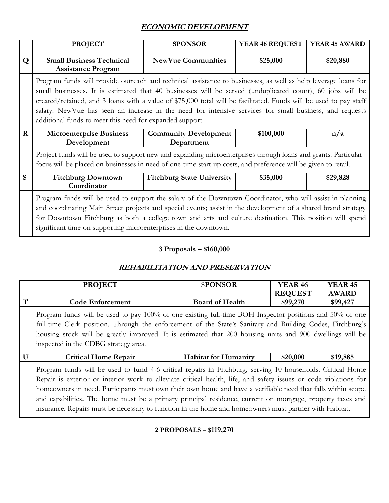### **ECONOMIC DEVELOPMENT**

|   | <b>PROJECT</b>                                                                                                                                                                                                                                                                                                                                                                                                                                                                                                           | <b>SPONSOR</b>                             | YEAR 46 REQUEST | <b>YEAR 45 AWARD</b> |
|---|--------------------------------------------------------------------------------------------------------------------------------------------------------------------------------------------------------------------------------------------------------------------------------------------------------------------------------------------------------------------------------------------------------------------------------------------------------------------------------------------------------------------------|--------------------------------------------|-----------------|----------------------|
| Q | <b>Small Business Technical</b><br><b>Assistance Program</b>                                                                                                                                                                                                                                                                                                                                                                                                                                                             | <b>NewVue Communities</b>                  | \$25,000        | \$20,880             |
|   | Program funds will provide outreach and technical assistance to businesses, as well as help leverage loans for<br>small businesses. It is estimated that 40 businesses will be served (unduplicated count), 60 jobs will be<br>created/retained, and 3 loans with a value of \$75,000 total will be facilitated. Funds will be used to pay staff<br>salary. New Vue has seen an increase in the need for intensive services for small business, and requests<br>additional funds to meet this need for expanded support. |                                            |                 |                      |
| R | <b>Microenterprise Business</b><br>Development                                                                                                                                                                                                                                                                                                                                                                                                                                                                           | <b>Community Development</b><br>Department | \$100,000       | n/a                  |
|   | Project funds will be used to support new and expanding microenterprises through loans and grants. Particular<br>focus will be placed on businesses in need of one-time start-up costs, and preference will be given to retail.                                                                                                                                                                                                                                                                                          |                                            |                 |                      |
| S | <b>Fitchburg Downtown</b><br>Coordinator                                                                                                                                                                                                                                                                                                                                                                                                                                                                                 | <b>Fitchburg State University</b>          | \$35,000        | \$29,828             |
|   | Program funds will be used to support the salary of the Downtown Coordinator, who will assist in planning<br>and coordinating Main Street projects and special events; assist in the development of a shared brand strategy<br>for Downtown Fitchburg as both a college town and arts and culture destination. This position will spend<br>significant time on supporting microenterprises in the downtown.                                                                                                              |                                            |                 |                      |

### **3 Proposals – \$160,000**

#### **REHABILITATION AND PRESERVATION**

|              | <b>PROJECT</b>                                                                                                                                                                                                                                                                                                                                                                                                                                                                                                                                                       | <b>SPONSOR</b>              | <b>YEAR 46</b><br><b>REQUEST</b> | <b>YEAR 45</b><br><b>AWARD</b> |
|--------------|----------------------------------------------------------------------------------------------------------------------------------------------------------------------------------------------------------------------------------------------------------------------------------------------------------------------------------------------------------------------------------------------------------------------------------------------------------------------------------------------------------------------------------------------------------------------|-----------------------------|----------------------------------|--------------------------------|
| $\mathbf T$  | <b>Code Enforcement</b>                                                                                                                                                                                                                                                                                                                                                                                                                                                                                                                                              | <b>Board of Health</b>      | \$99,270                         | \$99,427                       |
|              | Program funds will be used to pay 100% of one existing full-time BOH Inspector positions and 50% of one<br>full-time Clerk position. Through the enforcement of the State's Sanitary and Building Codes, Fitchburg's<br>housing stock will be greatly improved. It is estimated that 200 housing units and 900 dwellings will be<br>inspected in the CDBG strategy area.                                                                                                                                                                                             |                             |                                  |                                |
| $\mathbf{U}$ | <b>Critical Home Repair</b>                                                                                                                                                                                                                                                                                                                                                                                                                                                                                                                                          | <b>Habitat for Humanity</b> | \$20,000                         | \$19,885                       |
|              | Program funds will be used to fund 4-6 critical repairs in Fitchburg, serving 10 households. Critical Home<br>Repair is exterior or interior work to alleviate critical health, life, and safety issues or code violations for<br>homeowners in need. Participants must own their own home and have a verifiable need that falls within scope<br>and capabilities. The home must be a primary principal residence, current on mortgage, property taxes and<br>insurance. Repairs must be necessary to function in the home and homeowners must partner with Habitat. |                             |                                  |                                |

#### **2 PROPOSALS – \$119,270**